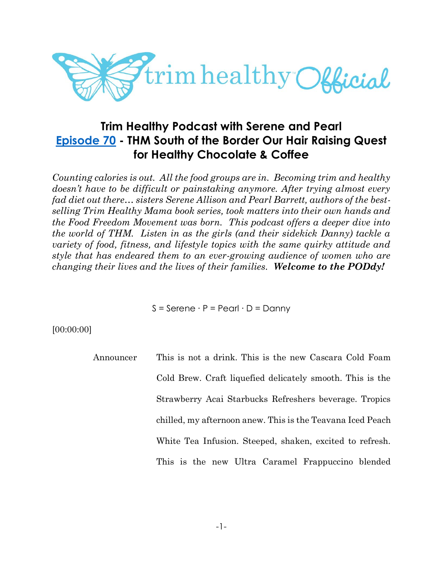

# **Trim Healthy Podcast with Serene and Pearl [Episode 70](https://cms.megaphone.fm/channel/trimhealthypodcast?selected=ADL7047335860) - THM South of the Border Our Hair Raising Quest for Healthy Chocolate & Coffee**

*Counting calories is out. All the food groups are in. Becoming trim and healthy doesn't have to be difficult or painstaking anymore. After trying almost every fad diet out there… sisters Serene Allison and Pearl Barrett, authors of the bestselling Trim Healthy Mama book series, took matters into their own hands and the Food Freedom Movement was born. This podcast offers a deeper dive into the world of THM. Listen in as the girls (and their sidekick Danny) tackle a variety of food, fitness, and lifestyle topics with the same quirky attitude and style that has endeared them to an ever-growing audience of women who are changing their lives and the lives of their families. Welcome to the PODdy!*

S = Serene ∙ P = Pearl ∙ D = Danny

[00:00:00]

Announcer This is not a drink. This is the new Cascara Cold Foam Cold Brew. Craft liquefied delicately smooth. This is the Strawberry Acai Starbucks Refreshers beverage. Tropics chilled, my afternoon anew. This is the Teavana Iced Peach White Tea Infusion. Steeped, shaken, excited to refresh. This is the new Ultra Caramel Frappuccino blended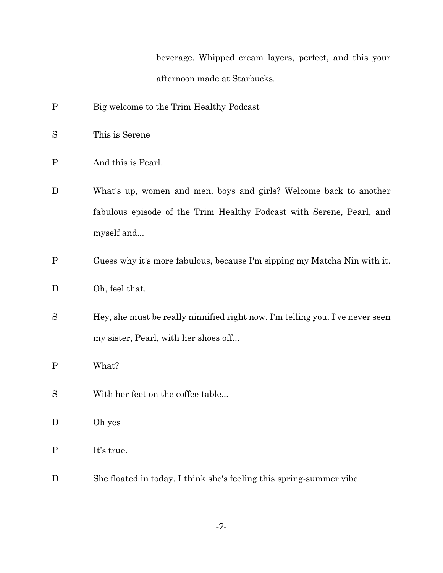beverage. Whipped cream layers, perfect, and this your afternoon made at Starbucks.

- P Big welcome to the Trim Healthy Podcast
- S This is Serene
- P And this is Pearl.
- D What's up, women and men, boys and girls? Welcome back to another fabulous episode of the Trim Healthy Podcast with Serene, Pearl, and myself and...
- P Guess why it's more fabulous, because I'm sipping my Matcha Nin with it.
- D Oh, feel that.
- S Hey, she must be really ninnified right now. I'm telling you, I've never seen my sister, Pearl, with her shoes off...
- P What?
- S With her feet on the coffee table...
- D Oh yes
- P It's true.
- D She floated in today. I think she's feeling this spring-summer vibe.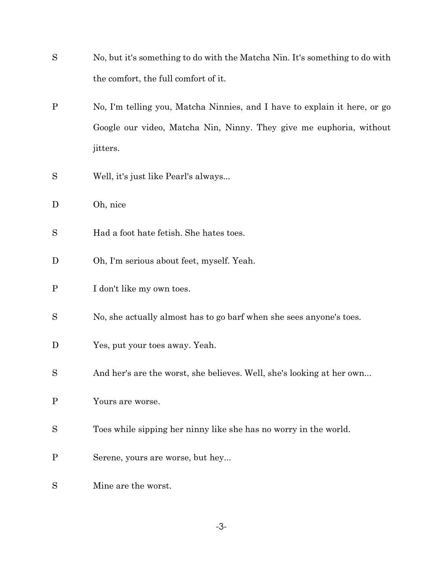| S           | No, but it's something to do with the Matcha Nin. It's something to do with |
|-------------|-----------------------------------------------------------------------------|
|             | the comfort, the full comfort of it.                                        |
| $\mathbf P$ | No, I'm telling you, Matcha Ninnies, and I have to explain it here, or go   |
|             | Google our video, Matcha Nin, Ninny. They give me euphoria, without         |
|             | jitters.                                                                    |
| S           | Well, it's just like Pearl's always                                         |
| D           | Oh, nice                                                                    |
| S           | Had a foot hate fetish. She hates toes.                                     |
| D           | Oh, I'm serious about feet, myself. Yeah.                                   |
| $\mathbf P$ | I don't like my own toes.                                                   |
| S           | No, she actually almost has to go barf when she sees anyone's toes.         |
| D           | Yes, put your toes away. Yeah.                                              |
| S           | And her's are the worst, she believes. Well, she's looking at her own       |
| $\mathbf P$ | Yours are worse.                                                            |
| S           | Toes while sipping her ninny like she has no worry in the world.            |
| $\mathbf P$ | Serene, yours are worse, but hey                                            |
| S           | Mine are the worst.                                                         |

-3-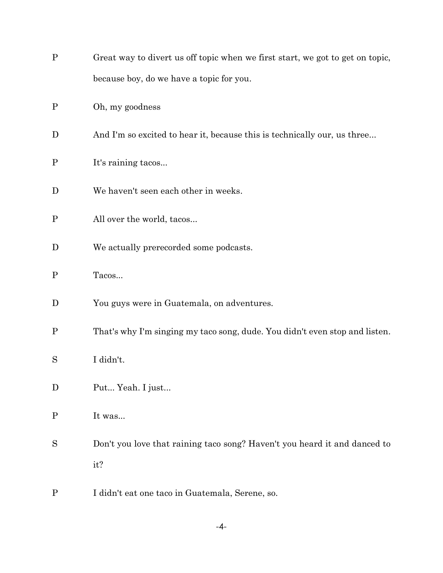| $\mathbf P$  | Great way to divert us off topic when we first start, we got to get on topic, |
|--------------|-------------------------------------------------------------------------------|
|              | because boy, do we have a topic for you.                                      |
| $\mathbf{P}$ | Oh, my goodness                                                               |
| D            | And I'm so excited to hear it, because this is technically our, us three      |
| $\mathbf P$  | It's raining tacos                                                            |
| D            | We haven't seen each other in weeks.                                          |
| $\mathbf P$  | All over the world, tacos                                                     |
| D            | We actually prerecorded some podcasts.                                        |
| $\mathbf P$  | Tacos                                                                         |
| D            | You guys were in Guatemala, on adventures.                                    |
| $\mathbf{P}$ | That's why I'm singing my taco song, dude. You didn't even stop and listen.   |
| S            | I didn't.                                                                     |
| D            | Put Yeah. I just                                                              |
| $\mathbf P$  | It was                                                                        |
| S            | Don't you love that raining taco song? Haven't you heard it and danced to     |
|              | it?                                                                           |
| $\mathbf P$  | I didn't eat one taco in Guatemala, Serene, so.                               |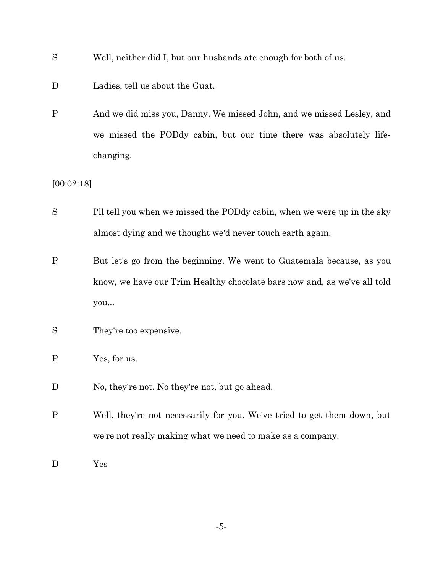- S Well, neither did I, but our husbands ate enough for both of us.
- D Ladies, tell us about the Guat.
- P And we did miss you, Danny. We missed John, and we missed Lesley, and we missed the PODdy cabin, but our time there was absolutely lifechanging.

[00:02:18]

- S I'll tell you when we missed the PODdy cabin, when we were up in the sky almost dying and we thought we'd never touch earth again.
- P But let's go from the beginning. We went to Guatemala because, as you know, we have our Trim Healthy chocolate bars now and, as we've all told you...
- S They're too expensive.
- P Yes, for us.
- D No, they're not. No they're not, but go ahead.
- P Well, they're not necessarily for you. We've tried to get them down, but we're not really making what we need to make as a company.

D Yes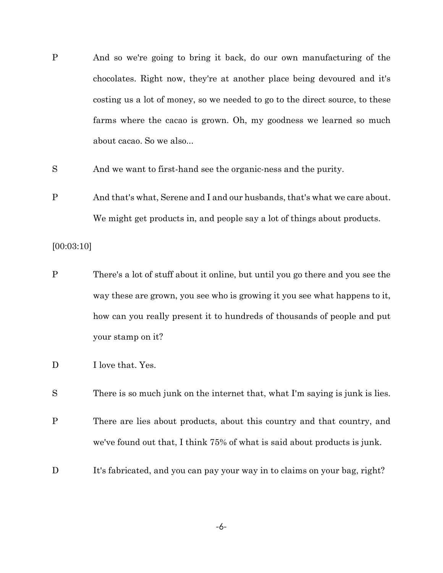- P And so we're going to bring it back, do our own manufacturing of the chocolates. Right now, they're at another place being devoured and it's costing us a lot of money, so we needed to go to the direct source, to these farms where the cacao is grown. Oh, my goodness we learned so much about cacao. So we also...
- S And we want to first-hand see the organic-ness and the purity.
- P And that's what, Serene and I and our husbands, that's what we care about. We might get products in, and people say a lot of things about products.

#### [00:03:10]

- P There's a lot of stuff about it online, but until you go there and you see the way these are grown, you see who is growing it you see what happens to it, how can you really present it to hundreds of thousands of people and put your stamp on it?
- D I love that. Yes.
- S There is so much junk on the internet that, what I'm saying is junk is lies.
- P There are lies about products, about this country and that country, and we've found out that, I think 75% of what is said about products is junk.
- D It's fabricated, and you can pay your way in to claims on your bag, right?

-6-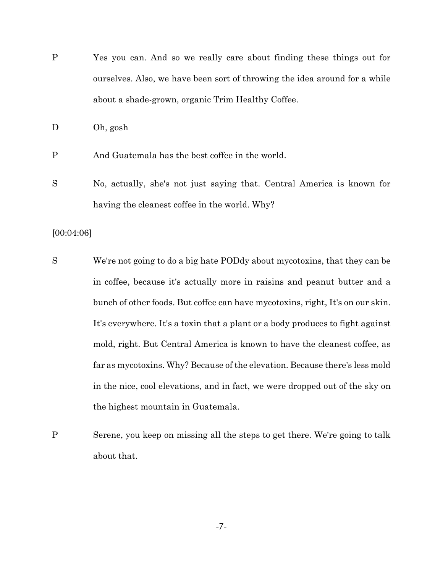P Yes you can. And so we really care about finding these things out for ourselves. Also, we have been sort of throwing the idea around for a while about a shade-grown, organic Trim Healthy Coffee.

D Oh, gosh

- P And Guatemala has the best coffee in the world.
- S No, actually, she's not just saying that. Central America is known for having the cleanest coffee in the world. Why?

### [00:04:06]

- S We're not going to do a big hate PODdy about mycotoxins, that they can be in coffee, because it's actually more in raisins and peanut butter and a bunch of other foods. But coffee can have mycotoxins, right, It's on our skin. It's everywhere. It's a toxin that a plant or a body produces to fight against mold, right. But Central America is known to have the cleanest coffee, as far as mycotoxins. Why? Because of the elevation. Because there's less mold in the nice, cool elevations, and in fact, we were dropped out of the sky on the highest mountain in Guatemala.
- P Serene, you keep on missing all the steps to get there. We're going to talk about that.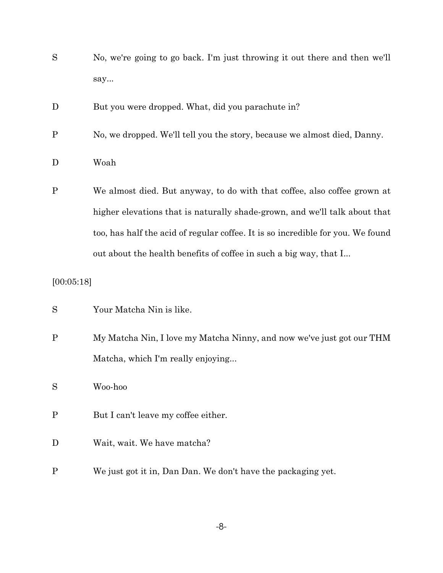- S No, we're going to go back. I'm just throwing it out there and then we'll say...
- D But you were dropped. What, did you parachute in?
- P No, we dropped. We'll tell you the story, because we almost died, Danny.
- D Woah
- P We almost died. But anyway, to do with that coffee, also coffee grown at higher elevations that is naturally shade-grown, and we'll talk about that too, has half the acid of regular coffee. It is so incredible for you. We found out about the health benefits of coffee in such a big way, that I...

### [00:05:18]

- S Your Matcha Nin is like.
- P My Matcha Nin, I love my Matcha Ninny, and now we've just got our THM Matcha, which I'm really enjoying...

S Woo-hoo

- P But I can't leave my coffee either.
- D Wait, wait. We have matcha?
- P We just got it in, Dan Dan. We don't have the packaging yet.

-8-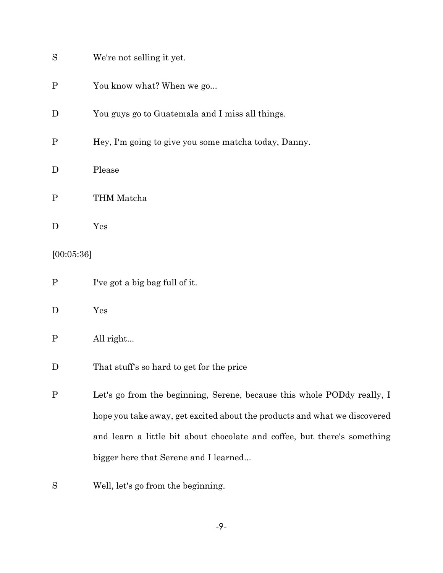| S            | We're not selling it yet.                                                 |
|--------------|---------------------------------------------------------------------------|
| $\mathbf{P}$ | You know what? When we go                                                 |
| D            | You guys go to Guatemala and I miss all things.                           |
| $\mathbf{P}$ | Hey, I'm going to give you some matcha today, Danny.                      |
| D            | Please                                                                    |
| $\mathbf P$  | THM Matcha                                                                |
| D            | Yes                                                                       |
| [00:05:36]   |                                                                           |
| $\mathbf P$  | I've got a big bag full of it.                                            |
| D            | Yes                                                                       |
| $\mathbf{P}$ | All right                                                                 |
| D            | That stuff's so hard to get for the price                                 |
| $\mathbf P$  | Let's go from the beginning, Serene, because this whole PODdy really, I   |
|              | hope you take away, get excited about the products and what we discovered |
|              | and learn a little bit about chocolate and coffee, but there's something  |
|              | bigger here that Serene and I learned                                     |
| S            | Well, let's go from the beginning.                                        |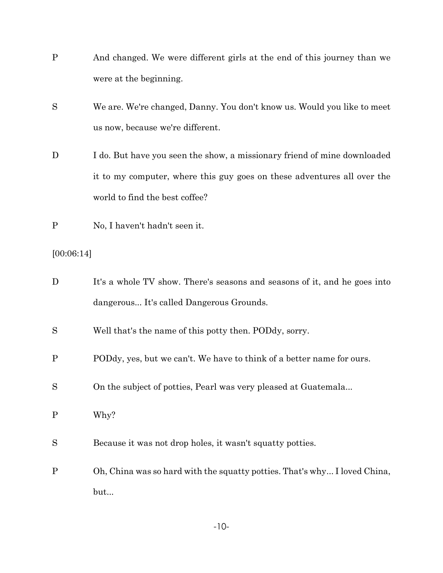- P And changed. We were different girls at the end of this journey than we were at the beginning.
- S We are. We're changed, Danny. You don't know us. Would you like to meet us now, because we're different.
- D I do. But have you seen the show, a missionary friend of mine downloaded it to my computer, where this guy goes on these adventures all over the world to find the best coffee?
- P No, I haven't hadn't seen it.

# [00:06:14]

| D            | It's a whole TV show. There's seasons and seasons of it, and he goes into |
|--------------|---------------------------------------------------------------------------|
|              | dangerous It's called Dangerous Grounds.                                  |
| S            | Well that's the name of this potty then. PODdy, sorry.                    |
| $\mathbf{P}$ | PODdy, yes, but we can't. We have to think of a better name for ours.     |
| S            | On the subject of potties, Pearl was very pleased at Guatemala            |
| $\mathbf{P}$ | Why?                                                                      |
| S            | Because it was not drop holes, it wasn't squatty potties.                 |
| $\mathbf{P}$ | Oh, China was so hard with the squatty potties. That's why I loved China, |
|              | but                                                                       |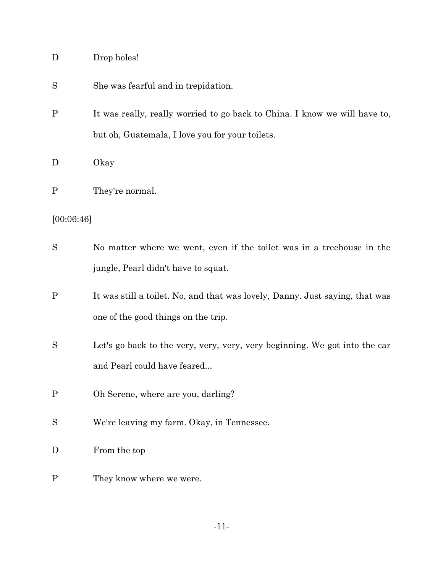| Drop holes! |  |
|-------------|--|
|             |  |

S She was fearful and in trepidation.

P It was really, really worried to go back to China. I know we will have to, but oh, Guatemala, I love you for your toilets.

D Okay

P They're normal.

# [00:06:46]

| S            | No matter where we went, even if the toilet was in a treehouse in the        |
|--------------|------------------------------------------------------------------------------|
|              | jungle, Pearl didn't have to squat.                                          |
| $\mathbf{P}$ | It was still a toilet. No, and that was lovely, Danny. Just saying, that was |
|              | one of the good things on the trip.                                          |
| S            | Let's go back to the very, very, very, very beginning. We got into the car   |
|              | and Pearl could have feared                                                  |
| $\mathbf{P}$ | Oh Serene, where are you, darling?                                           |
| S            | We're leaving my farm. Okay, in Tennessee.                                   |
| D            | From the top                                                                 |
| $\mathbf{P}$ | They know where we were.                                                     |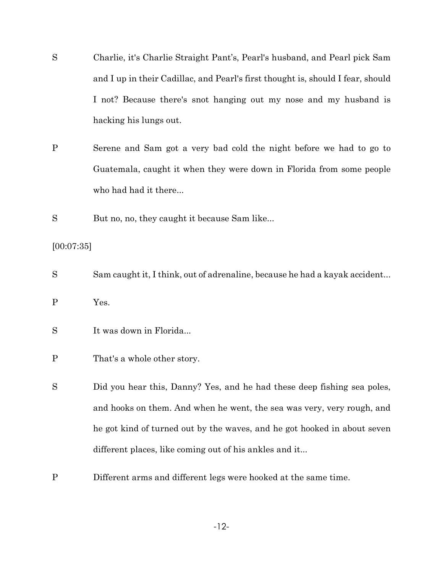- S Charlie, it's Charlie Straight Pant's, Pearl's husband, and Pearl pick Sam and I up in their Cadillac, and Pearl's first thought is, should I fear, should I not? Because there's snot hanging out my nose and my husband is hacking his lungs out.
- P Serene and Sam got a very bad cold the night before we had to go to Guatemala, caught it when they were down in Florida from some people who had had it there...

S But no, no, they caught it because Sam like...

#### [00:07:35]

- S Sam caught it, I think, out of adrenaline, because he had a kayak accident...
- P Yes.
- S It was down in Florida...
- P That's a whole other story.

S Did you hear this, Danny? Yes, and he had these deep fishing sea poles, and hooks on them. And when he went, the sea was very, very rough, and he got kind of turned out by the waves, and he got hooked in about seven different places, like coming out of his ankles and it...

P Different arms and different legs were hooked at the same time.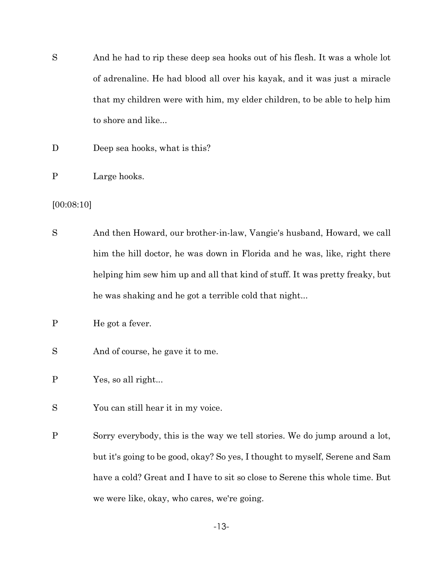- S And he had to rip these deep sea hooks out of his flesh. It was a whole lot of adrenaline. He had blood all over his kayak, and it was just a miracle that my children were with him, my elder children, to be able to help him to shore and like...
- D Deep sea hooks, what is this?
- P Large hooks.
- [00:08:10]
- S And then Howard, our brother-in-law, Vangie's husband, Howard, we call him the hill doctor, he was down in Florida and he was, like, right there helping him sew him up and all that kind of stuff. It was pretty freaky, but he was shaking and he got a terrible cold that night...
- P He got a fever.
- S And of course, he gave it to me.
- P Yes, so all right...
- S You can still hear it in my voice.
- P Sorry everybody, this is the way we tell stories. We do jump around a lot, but it's going to be good, okay? So yes, I thought to myself, Serene and Sam have a cold? Great and I have to sit so close to Serene this whole time. But we were like, okay, who cares, we're going.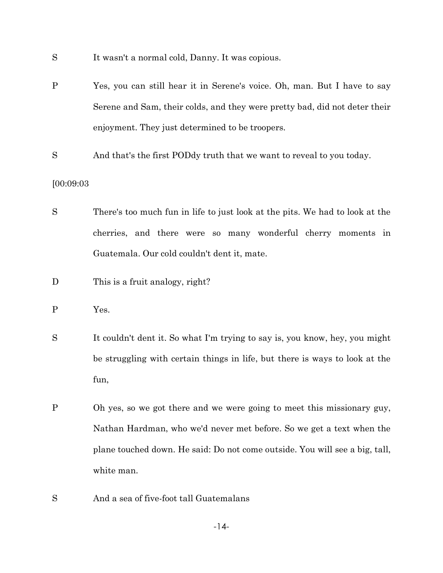- S It wasn't a normal cold, Danny. It was copious.
- P Yes, you can still hear it in Serene's voice. Oh, man. But I have to say Serene and Sam, their colds, and they were pretty bad, did not deter their enjoyment. They just determined to be troopers.
- S And that's the first PODdy truth that we want to reveal to you today.

#### [00:09:03

- S There's too much fun in life to just look at the pits. We had to look at the cherries, and there were so many wonderful cherry moments in Guatemala. Our cold couldn't dent it, mate.
- D This is a fruit analogy, right?
- P Yes.
- S It couldn't dent it. So what I'm trying to say is, you know, hey, you might be struggling with certain things in life, but there is ways to look at the fun,
- P Oh yes, so we got there and we were going to meet this missionary guy, Nathan Hardman, who we'd never met before. So we get a text when the plane touched down. He said: Do not come outside. You will see a big, tall, white man.
- S And a sea of five-foot tall Guatemalans

-14-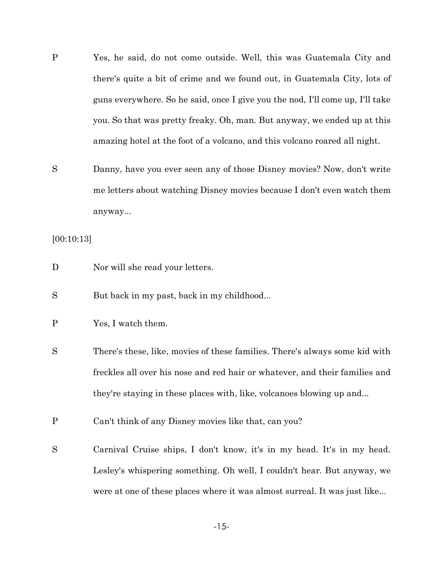- P Yes, he said, do not come outside. Well, this was Guatemala City and there's quite a bit of crime and we found out, in Guatemala City, lots of guns everywhere. So he said, once I give you the nod, I'll come up, I'll take you. So that was pretty freaky. Oh, man. But anyway, we ended up at this amazing hotel at the foot of a volcano, and this volcano roared all night.
- S Danny, have you ever seen any of those Disney movies? Now, don't write me letters about watching Disney movies because I don't even watch them anyway...

[00:10:13]

- D Nor will she read your letters.
- S But back in my past, back in my childhood...
- P Yes, I watch them.
- S There's these, like, movies of these families. There's always some kid with freckles all over his nose and red hair or whatever, and their families and they're staying in these places with, like, volcanoes blowing up and...
- P Can't think of any Disney movies like that, can you?
- S Carnival Cruise ships, I don't know, it's in my head. It's in my head. Lesley's whispering something. Oh well, I couldn't hear. But anyway, we were at one of these places where it was almost surreal. It was just like...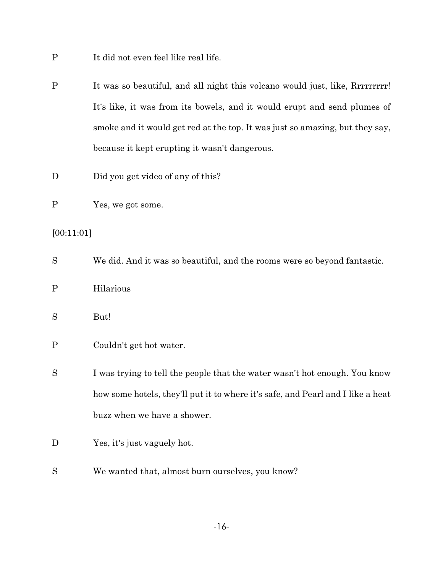- P It did not even feel like real life.
- P It was so beautiful, and all night this volcano would just, like, Rrrrrrrrr! It's like, it was from its bowels, and it would erupt and send plumes of smoke and it would get red at the top. It was just so amazing, but they say, because it kept erupting it wasn't dangerous.
- D Did you get video of any of this?
- P Yes, we got some.

### [00:11:01]

S We did. And it was so beautiful, and the rooms were so beyond fantastic. P Hilarious S But! P Couldn't get hot water. S I was trying to tell the people that the water wasn't hot enough. You know how some hotels, they'll put it to where it's safe, and Pearl and I like a heat buzz when we have a shower. D Yes, it's just vaguely hot. S We wanted that, almost burn ourselves, you know?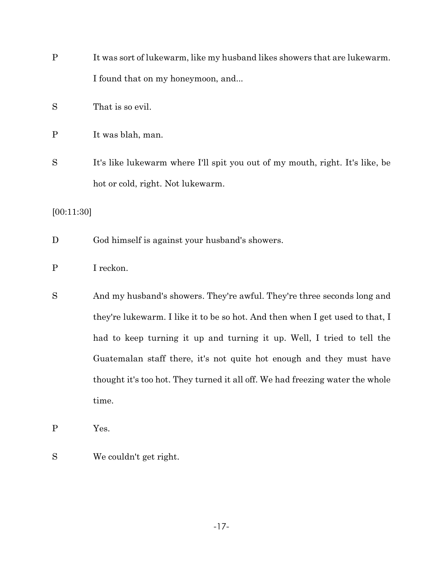| $\mathbf P$  | It was sort of lukewarm, like my husband likes showers that are lukewarm.     |
|--------------|-------------------------------------------------------------------------------|
|              | I found that on my honeymoon, and                                             |
| S            | That is so evil.                                                              |
| $\mathbf{P}$ | It was blah, man.                                                             |
| S            | It's like lukewarm where I'll spit you out of my mouth, right. It's like, be  |
|              | hot or cold, right. Not lukewarm.                                             |
| [00:11:30]   |                                                                               |
| D            | God himself is against your husband's showers.                                |
| $\mathbf P$  | I reckon.                                                                     |
| S            | And my husband's showers. They're awful. They're three seconds long and       |
|              | they're lukewarm. I like it to be so hot. And then when I get used to that, I |
|              | had to keep turning it up and turning it up. Well, I tried to tell the        |
|              | Guatemalan staff there, it's not quite hot enough and they must have          |
|              | thought it's too hot. They turned it all off. We had freezing water the whole |
|              | time.                                                                         |
| $\mathbf{P}$ | Yes.                                                                          |
| S            | We couldn't get right.                                                        |

-17-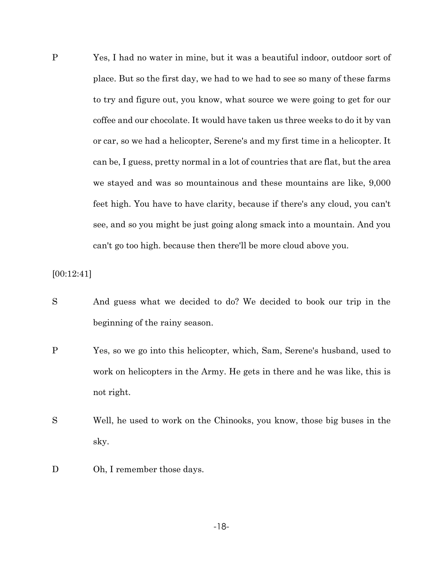P Yes, I had no water in mine, but it was a beautiful indoor, outdoor sort of place. But so the first day, we had to we had to see so many of these farms to try and figure out, you know, what source we were going to get for our coffee and our chocolate. It would have taken us three weeks to do it by van or car, so we had a helicopter, Serene's and my first time in a helicopter. It can be, I guess, pretty normal in a lot of countries that are flat, but the area we stayed and was so mountainous and these mountains are like, 9,000 feet high. You have to have clarity, because if there's any cloud, you can't see, and so you might be just going along smack into a mountain. And you can't go too high. because then there'll be more cloud above you.

[00:12:41]

- S And guess what we decided to do? We decided to book our trip in the beginning of the rainy season.
- P Yes, so we go into this helicopter, which, Sam, Serene's husband, used to work on helicopters in the Army. He gets in there and he was like, this is not right.
- S Well, he used to work on the Chinooks, you know, those big buses in the sky.
- D Oh, I remember those days.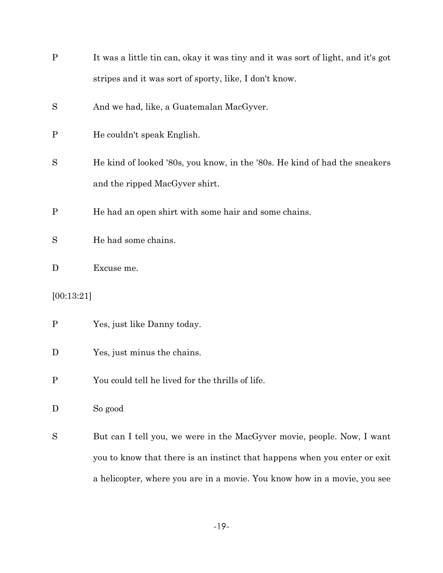| $\mathbf{P}$ | It was a little tin can, okay it was tiny and it was sort of light, and it's got |
|--------------|----------------------------------------------------------------------------------|
|              | stripes and it was sort of sporty, like, I don't know.                           |
| S            | And we had, like, a Guatemalan MacGyver.                                         |
| $\mathbf P$  | He couldn't speak English.                                                       |
| S            | He kind of looked '80s, you know, in the '80s. He kind of had the sneakers       |
|              | and the ripped MacGyver shirt.                                                   |
| $\mathbf P$  | He had an open shirt with some hair and some chains.                             |
| S            | He had some chains.                                                              |
| D            | Excuse me.                                                                       |
| [00:13:21]   |                                                                                  |
| $\mathbf P$  | Yes, just like Danny today.                                                      |
| D            | Yes, just minus the chains.                                                      |
|              | You could tell he lived for the thrills of life.                                 |
| D            | So good                                                                          |
| S            | But can I tell you, we were in the MacGyver movie, people. Now, I want           |
|              | you to know that there is an instinct that happens when you enter or exit        |
|              | a helicopter, where you are in a movie. You know how in a movie, you see         |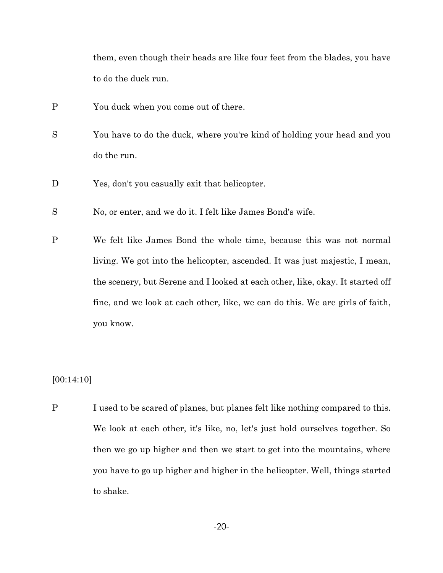them, even though their heads are like four feet from the blades, you have to do the duck run.

- P You duck when you come out of there.
- S You have to do the duck, where you're kind of holding your head and you do the run.
- D Yes, don't you casually exit that helicopter.
- S No, or enter, and we do it. I felt like James Bond's wife.
- P We felt like James Bond the whole time, because this was not normal living. We got into the helicopter, ascended. It was just majestic, I mean, the scenery, but Serene and I looked at each other, like, okay. It started off fine, and we look at each other, like, we can do this. We are girls of faith, you know.

### [00:14:10]

P I used to be scared of planes, but planes felt like nothing compared to this. We look at each other, it's like, no, let's just hold ourselves together. So then we go up higher and then we start to get into the mountains, where you have to go up higher and higher in the helicopter. Well, things started to shake.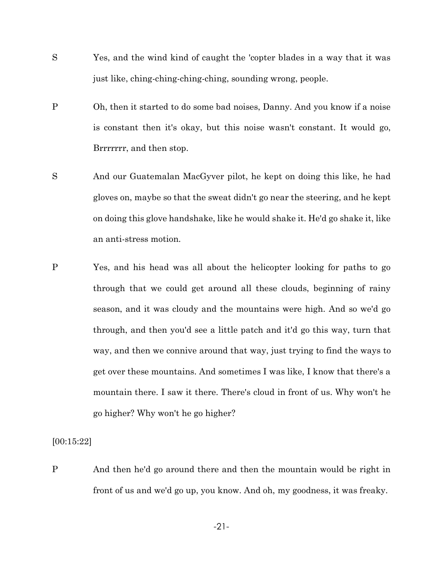- S Yes, and the wind kind of caught the 'copter blades in a way that it was just like, ching-ching-ching-ching, sounding wrong, people.
- P Oh, then it started to do some bad noises, Danny. And you know if a noise is constant then it's okay, but this noise wasn't constant. It would go, Brrrrrrr, and then stop.
- S And our Guatemalan MacGyver pilot, he kept on doing this like, he had gloves on, maybe so that the sweat didn't go near the steering, and he kept on doing this glove handshake, like he would shake it. He'd go shake it, like an anti-stress motion.
- P Yes, and his head was all about the helicopter looking for paths to go through that we could get around all these clouds, beginning of rainy season, and it was cloudy and the mountains were high. And so we'd go through, and then you'd see a little patch and it'd go this way, turn that way, and then we connive around that way, just trying to find the ways to get over these mountains. And sometimes I was like, I know that there's a mountain there. I saw it there. There's cloud in front of us. Why won't he go higher? Why won't he go higher?

[00:15:22]

P And then he'd go around there and then the mountain would be right in front of us and we'd go up, you know. And oh, my goodness, it was freaky.

-21-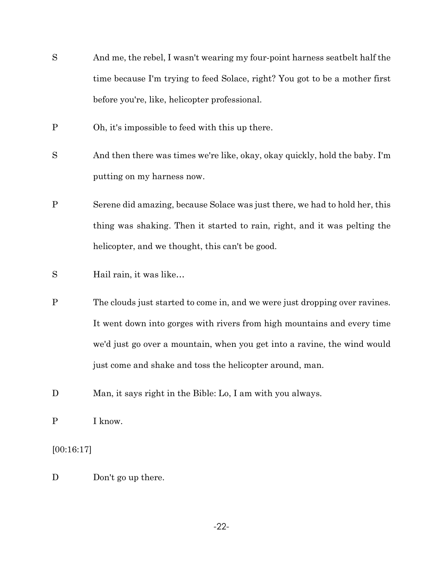- S And me, the rebel, I wasn't wearing my four-point harness seatbelt half the time because I'm trying to feed Solace, right? You got to be a mother first before you're, like, helicopter professional.
- P Oh, it's impossible to feed with this up there.
- S And then there was times we're like, okay, okay quickly, hold the baby. I'm putting on my harness now.
- P Serene did amazing, because Solace was just there, we had to hold her, this thing was shaking. Then it started to rain, right, and it was pelting the helicopter, and we thought, this can't be good.
- S Hail rain, it was like…
- P The clouds just started to come in, and we were just dropping over ravines. It went down into gorges with rivers from high mountains and every time we'd just go over a mountain, when you get into a ravine, the wind would just come and shake and toss the helicopter around, man.
- D Man, it says right in the Bible: Lo, I am with you always.
- P I know.

[00:16:17]

D Don't go up there.

-22-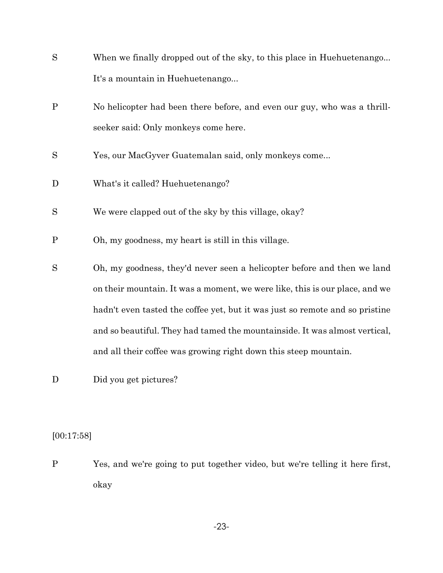| S            | When we finally dropped out of the sky, to this place in Huehuetenango       |
|--------------|------------------------------------------------------------------------------|
|              | It's a mountain in Huehuetenango                                             |
| $\mathbf{P}$ | No helicopter had been there before, and even our guy, who was a thrill-     |
|              | seeker said: Only monkeys come here.                                         |
| S            | Yes, our MacGyver Guatemalan said, only monkeys come                         |
| D            | What's it called? Huehuetenango?                                             |
| S            | We were clapped out of the sky by this village, okay?                        |
| $\mathbf{P}$ | Oh, my goodness, my heart is still in this village.                          |
| S            | Oh, my goodness, they'd never seen a helicopter before and then we land      |
|              | on their mountain. It was a moment, we were like, this is our place, and we  |
|              | hadn't even tasted the coffee yet, but it was just so remote and so pristine |
|              | and so beautiful. They had tamed the mountainside. It was almost vertical,   |
|              | and all their coffee was growing right down this steep mountain.             |

D Did you get pictures?

 $[00:17:58]$ 

P Yes, and we're going to put together video, but we're telling it here first, okay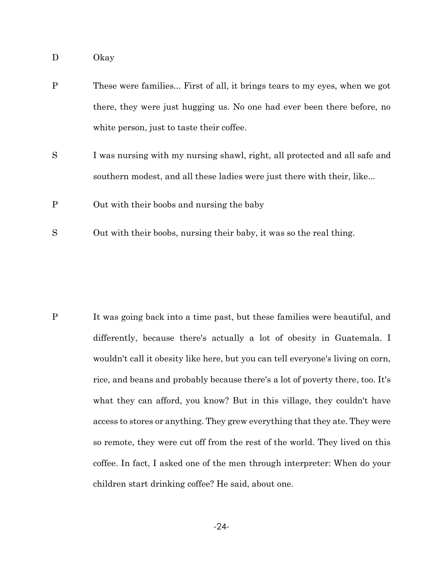- D Okay
- P These were families... First of all, it brings tears to my eyes, when we got there, they were just hugging us. No one had ever been there before, no white person, just to taste their coffee.
- S I was nursing with my nursing shawl, right, all protected and all safe and southern modest, and all these ladies were just there with their, like...
- P Out with their boobs and nursing the baby
- S Out with their boobs, nursing their baby, it was so the real thing.

P It was going back into a time past, but these families were beautiful, and differently, because there's actually a lot of obesity in Guatemala. I wouldn't call it obesity like here, but you can tell everyone's living on corn, rice, and beans and probably because there's a lot of poverty there, too. It's what they can afford, you know? But in this village, they couldn't have access to stores or anything. They grew everything that they ate. They were so remote, they were cut off from the rest of the world. They lived on this coffee. In fact, I asked one of the men through interpreter: When do your children start drinking coffee? He said, about one.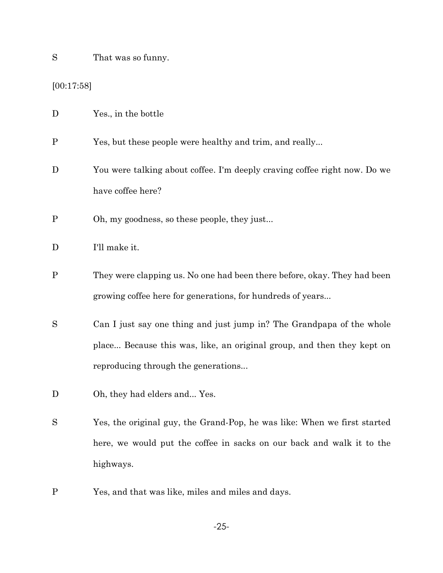S That was so funny.

 $[00:17:58]$ 

| D            | Yes., in the bottle                                                                                                                                                                    |
|--------------|----------------------------------------------------------------------------------------------------------------------------------------------------------------------------------------|
| $\mathbf P$  | Yes, but these people were healthy and trim, and really                                                                                                                                |
| D            | You were talking about coffee. I'm deeply craving coffee right now. Do we<br>have coffee here?                                                                                         |
| $\mathbf P$  | Oh, my goodness, so these people, they just                                                                                                                                            |
| D            | I'll make it.                                                                                                                                                                          |
| $\mathbf P$  | They were clapping us. No one had been there before, okay. They had been<br>growing coffee here for generations, for hundreds of years                                                 |
| S            | Can I just say one thing and just jump in? The Grandpapa of the whole<br>place Because this was, like, an original group, and then they kept on<br>reproducing through the generations |
| $\mathbf D$  | Oh, they had elders and Yes.                                                                                                                                                           |
| S            | Yes, the original guy, the Grand-Pop, he was like: When we first started<br>here, we would put the coffee in sacks on our back and walk it to the<br>highways.                         |
| $\mathbf{P}$ | Yes, and that was like, miles and miles and days.                                                                                                                                      |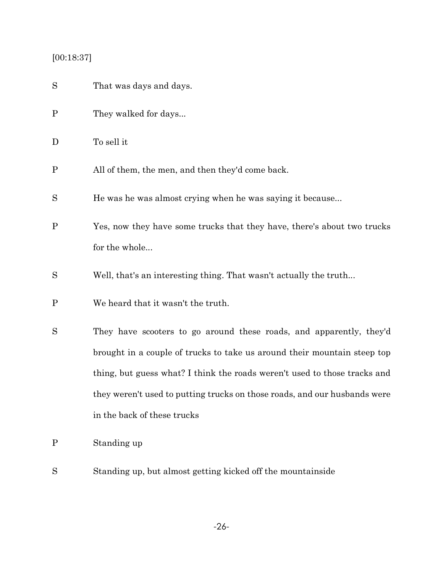# [00:18:37]

| S            | That was days and days.                                                   |
|--------------|---------------------------------------------------------------------------|
| $\mathbf P$  | They walked for days                                                      |
| D            | To sell it                                                                |
| $\mathbf P$  | All of them, the men, and then they'd come back.                          |
| S            | He was he was almost crying when he was saying it because                 |
| $\mathbf P$  | Yes, now they have some trucks that they have, there's about two trucks   |
|              | for the whole                                                             |
| S            | Well, that's an interesting thing. That wasn't actually the truth         |
| $\mathbf P$  | We heard that it wasn't the truth.                                        |
| S            | They have scooters to go around these roads, and apparently, they'd       |
|              | brought in a couple of trucks to take us around their mountain steep top  |
|              | thing, but guess what? I think the roads weren't used to those tracks and |
|              | they weren't used to putting trucks on those roads, and our husbands were |
|              | in the back of these trucks                                               |
| $\mathbf{P}$ | Standing up                                                               |
| S            | Standing up, but almost getting kicked off the mountainside               |

-26-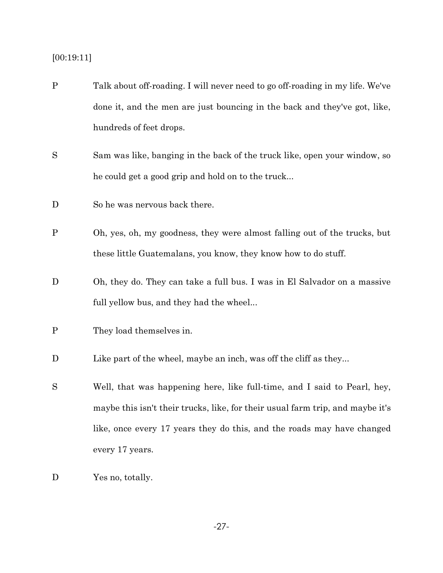### [00:19:11]

- P Talk about off-roading. I will never need to go off-roading in my life. We've done it, and the men are just bouncing in the back and they've got, like, hundreds of feet drops.
- S Sam was like, banging in the back of the truck like, open your window, so he could get a good grip and hold on to the truck...
- D So he was nervous back there.
- P Oh, yes, oh, my goodness, they were almost falling out of the trucks, but these little Guatemalans, you know, they know how to do stuff.
- D Oh, they do. They can take a full bus. I was in El Salvador on a massive full yellow bus, and they had the wheel...

- D Like part of the wheel, maybe an inch, was off the cliff as they...
- S Well, that was happening here, like full-time, and I said to Pearl, hey, maybe this isn't their trucks, like, for their usual farm trip, and maybe it's like, once every 17 years they do this, and the roads may have changed every 17 years.
- D Yes no, totally.

P They load themselves in.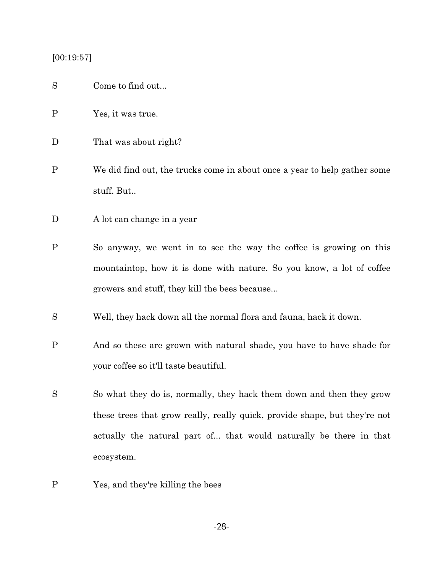### [00:19:57]

- S Come to find out...
- P Yes, it was true.
- D That was about right?
- P We did find out, the trucks come in about once a year to help gather some stuff. But..
- D A lot can change in a year
- P So anyway, we went in to see the way the coffee is growing on this mountaintop, how it is done with nature. So you know, a lot of coffee growers and stuff, they kill the bees because...
- S Well, they hack down all the normal flora and fauna, hack it down.
- P And so these are grown with natural shade, you have to have shade for your coffee so it'll taste beautiful.
- S So what they do is, normally, they hack them down and then they grow these trees that grow really, really quick, provide shape, but they're not actually the natural part of... that would naturally be there in that ecosystem.
- P Yes, and they're killing the bees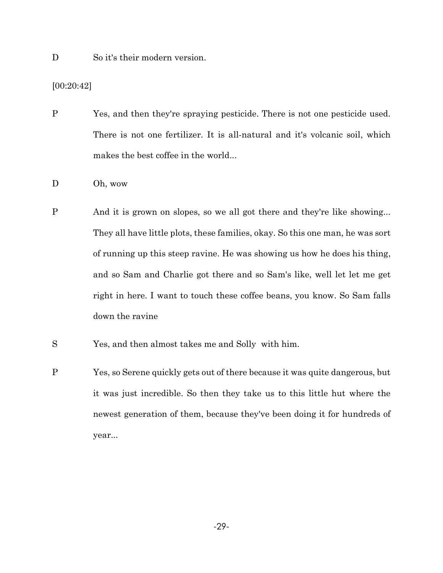D So it's their modern version.

[00:20:42]

P Yes, and then they're spraying pesticide. There is not one pesticide used. There is not one fertilizer. It is all-natural and it's volcanic soil, which makes the best coffee in the world...

- D Oh, wow
- P And it is grown on slopes, so we all got there and they're like showing... They all have little plots, these families, okay. So this one man, he was sort of running up this steep ravine. He was showing us how he does his thing, and so Sam and Charlie got there and so Sam's like, well let let me get right in here. I want to touch these coffee beans, you know. So Sam falls down the ravine
- S Yes, and then almost takes me and Solly with him.
- P Yes, so Serene quickly gets out of there because it was quite dangerous, but it was just incredible. So then they take us to this little hut where the newest generation of them, because they've been doing it for hundreds of year...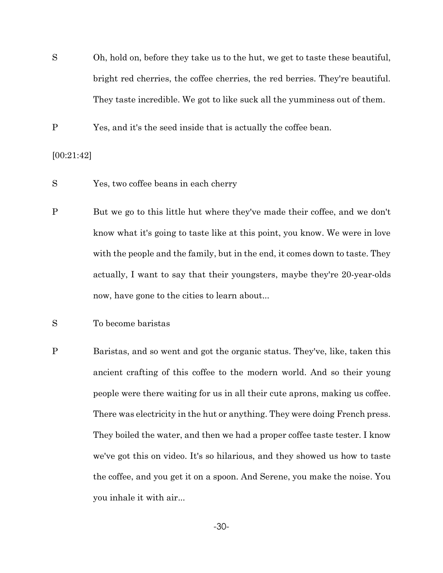S Oh, hold on, before they take us to the hut, we get to taste these beautiful, bright red cherries, the coffee cherries, the red berries. They're beautiful. They taste incredible. We got to like suck all the yumminess out of them.

P Yes, and it's the seed inside that is actually the coffee bean.

[00:21:42]

- S Yes, two coffee beans in each cherry
- P But we go to this little hut where they've made their coffee, and we don't know what it's going to taste like at this point, you know. We were in love with the people and the family, but in the end, it comes down to taste. They actually, I want to say that their youngsters, maybe they're 20-year-olds now, have gone to the cities to learn about...
- S To become baristas
- P Baristas, and so went and got the organic status. They've, like, taken this ancient crafting of this coffee to the modern world. And so their young people were there waiting for us in all their cute aprons, making us coffee. There was electricity in the hut or anything. They were doing French press. They boiled the water, and then we had a proper coffee taste tester. I know we've got this on video. It's so hilarious, and they showed us how to taste the coffee, and you get it on a spoon. And Serene, you make the noise. You you inhale it with air...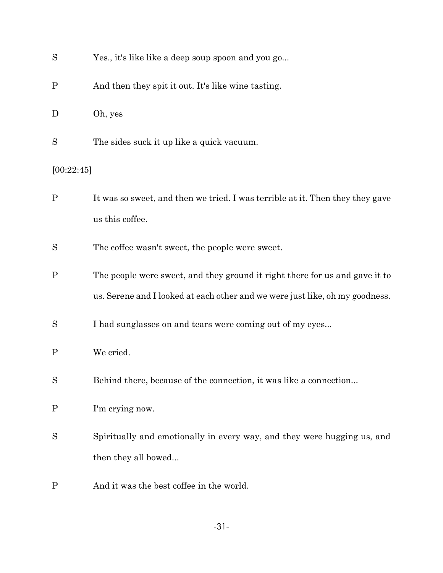| S            | Yes., it's like like a deep soup spoon and you go                                                                                                           |  |
|--------------|-------------------------------------------------------------------------------------------------------------------------------------------------------------|--|
| $\mathbf P$  | And then they spit it out. It's like wine tasting.                                                                                                          |  |
| D            | Oh, yes                                                                                                                                                     |  |
| S            | The sides suck it up like a quick vacuum.                                                                                                                   |  |
| [00:22:45]   |                                                                                                                                                             |  |
| $\mathbf P$  | It was so sweet, and then we tried. I was terrible at it. Then they they gave<br>us this coffee.                                                            |  |
| S            | The coffee wasn't sweet, the people were sweet.                                                                                                             |  |
| $\mathbf P$  | The people were sweet, and they ground it right there for us and gave it to<br>us. Serene and I looked at each other and we were just like, oh my goodness. |  |
| S            | I had sunglasses on and tears were coming out of my eyes                                                                                                    |  |
| $\mathbf P$  | We cried.                                                                                                                                                   |  |
| S            | Behind there, because of the connection, it was like a connection                                                                                           |  |
| $\mathbf{P}$ | I'm crying now.                                                                                                                                             |  |
| S            | Spiritually and emotionally in every way, and they were hugging us, and<br>then they all bowed                                                              |  |
| $\mathbf P$  | And it was the best coffee in the world.                                                                                                                    |  |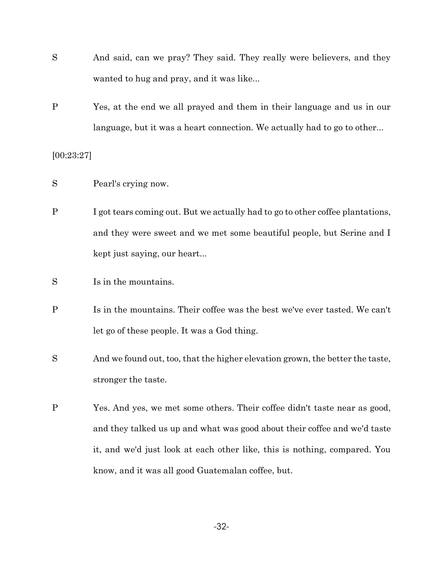- S And said, can we pray? They said. They really were believers, and they wanted to hug and pray, and it was like...
- P Yes, at the end we all prayed and them in their language and us in our language, but it was a heart connection. We actually had to go to other...

[00:23:27]

- S Pearl's crying now.
- P I got tears coming out. But we actually had to go to other coffee plantations, and they were sweet and we met some beautiful people, but Serine and I kept just saying, our heart...
- S Is in the mountains.
- P Is in the mountains. Their coffee was the best we've ever tasted. We can't let go of these people. It was a God thing.
- S And we found out, too, that the higher elevation grown, the better the taste, stronger the taste.
- P Yes. And yes, we met some others. Their coffee didn't taste near as good, and they talked us up and what was good about their coffee and we'd taste it, and we'd just look at each other like, this is nothing, compared. You know, and it was all good Guatemalan coffee, but.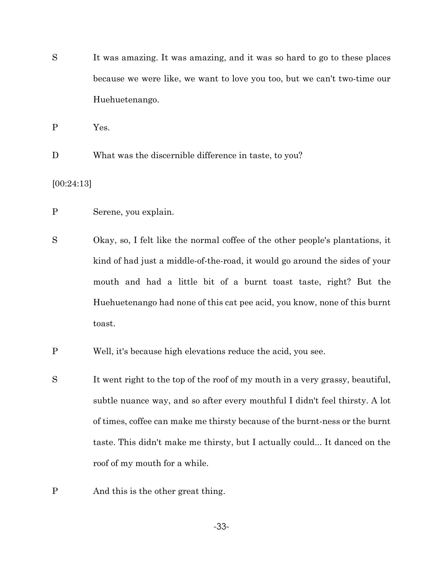S It was amazing. It was amazing, and it was so hard to go to these places because we were like, we want to love you too, but we can't two-time our Huehuetenango.

P Yes.

D What was the discernible difference in taste, to you?

[00:24:13]

- P Serene, you explain.
- S Okay, so, I felt like the normal coffee of the other people's plantations, it kind of had just a middle-of-the-road, it would go around the sides of your mouth and had a little bit of a burnt toast taste, right? But the Huehuetenango had none of this cat pee acid, you know, none of this burnt toast.
- P Well, it's because high elevations reduce the acid, you see.
- S It went right to the top of the roof of my mouth in a very grassy, beautiful, subtle nuance way, and so after every mouthful I didn't feel thirsty. A lot of times, coffee can make me thirsty because of the burnt-ness or the burnt taste. This didn't make me thirsty, but I actually could... It danced on the roof of my mouth for a while.
- P And this is the other great thing.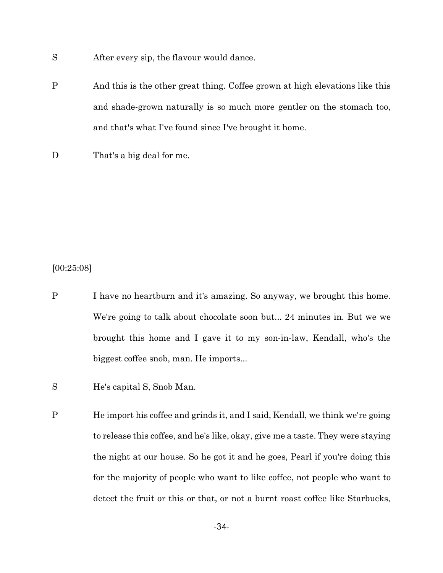S After every sip, the flavour would dance.

- P And this is the other great thing. Coffee grown at high elevations like this and shade-grown naturally is so much more gentler on the stomach too, and that's what I've found since I've brought it home.
- D That's a big deal for me.

[00:25:08]

- P I have no heartburn and it's amazing. So anyway, we brought this home. We're going to talk about chocolate soon but... 24 minutes in. But we we brought this home and I gave it to my son-in-law, Kendall, who's the biggest coffee snob, man. He imports...
- S He's capital S, Snob Man.
- P He import his coffee and grinds it, and I said, Kendall, we think we're going to release this coffee, and he's like, okay, give me a taste. They were staying the night at our house. So he got it and he goes, Pearl if you're doing this for the majority of people who want to like coffee, not people who want to detect the fruit or this or that, or not a burnt roast coffee like Starbucks,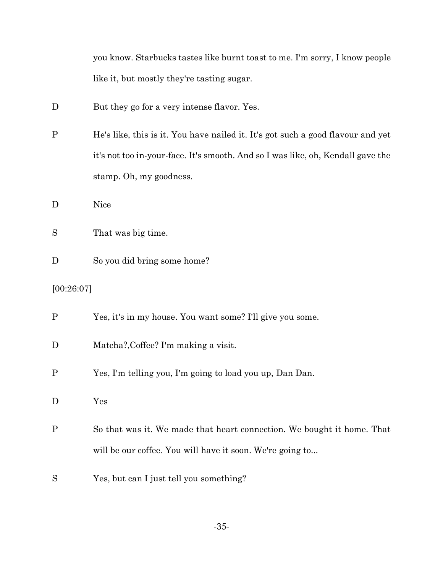|  | you know. Starbucks tastes like burnt toast to me. I'm sorry, I know people |  |  |  |  |  |
|--|-----------------------------------------------------------------------------|--|--|--|--|--|
|  | like it, but mostly they're tasting sugar.                                  |  |  |  |  |  |

- D But they go for a very intense flavor. Yes.
- P He's like, this is it. You have nailed it. It's got such a good flavour and yet it's not too in-your-face. It's smooth. And so I was like, oh, Kendall gave the stamp. Oh, my goodness.
- D Nice
- S That was big time.
- D So you did bring some home?
- [00:26:07]

| Yes, it's in my house. You want some? I'll give you some. |
|-----------------------------------------------------------|
|                                                           |

- D Matcha?, Coffee? I'm making a visit.
- P Yes, I'm telling you, I'm going to load you up, Dan Dan.
- D Yes
- P So that was it. We made that heart connection. We bought it home. That will be our coffee. You will have it soon. We're going to...
- S Yes, but can I just tell you something?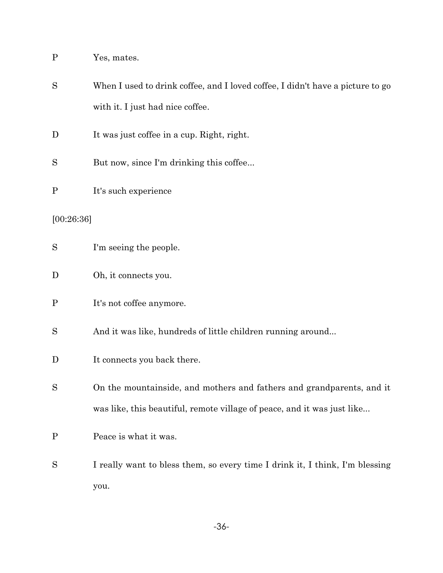| $\mathbf P$ | Yes, mates.                                                                                                        |
|-------------|--------------------------------------------------------------------------------------------------------------------|
| S           | When I used to drink coffee, and I loved coffee, I didn't have a picture to go<br>with it. I just had nice coffee. |
|             |                                                                                                                    |
| D           | It was just coffee in a cup. Right, right.                                                                         |
| S           | But now, since I'm drinking this coffee                                                                            |
| $\mathbf P$ | It's such experience                                                                                               |
| [00:26:36]  |                                                                                                                    |
| S           | I'm seeing the people.                                                                                             |
| D           | Oh, it connects you.                                                                                               |
| $\mathbf P$ | It's not coffee anymore.                                                                                           |
| S           | And it was like, hundreds of little children running around                                                        |
| D           | It connects you back there.                                                                                        |
| S           | On the mountainside, and mothers and fathers and grandparents, and it                                              |
|             | was like, this beautiful, remote village of peace, and it was just like                                            |
| $\mathbf P$ | Peace is what it was.                                                                                              |
| S           | I really want to bless them, so every time I drink it, I think, I'm blessing                                       |
|             | you.                                                                                                               |

-36-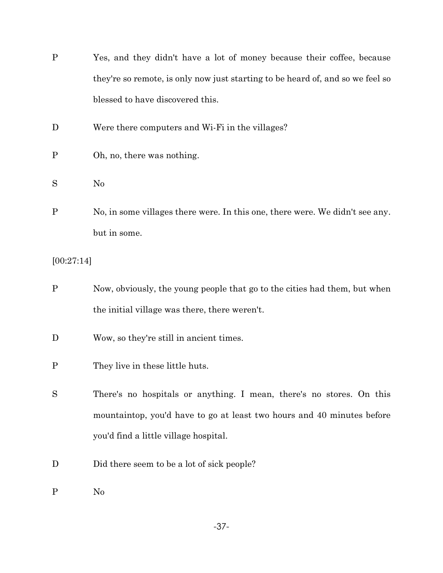| $\mathbf{P}$ | Yes, and they didn't have a lot of money because their coffee, because         |
|--------------|--------------------------------------------------------------------------------|
|              | they're so remote, is only now just starting to be heard of, and so we feel so |
|              | blessed to have discovered this.                                               |
| D            | Were there computers and Wi-Fi in the villages?                                |
| $\mathbf P$  | Oh, no, there was nothing.                                                     |
| S            | N <sub>0</sub>                                                                 |
| $\mathbf P$  | No, in some villages there were. In this one, there were. We didn't see any.   |
|              | but in some.                                                                   |
| [00:27:14]   |                                                                                |
| $\mathbf P$  | Now, obviously, the young people that go to the cities had them, but when      |
|              | the initial village was there, there weren't.                                  |
| D            | Wow, so they're still in ancient times.                                        |
| $\mathbf{P}$ | They live in these little huts.                                                |
| S            | There's no hospitals or anything. I mean, there's no stores. On this           |
|              | mountaintop, you'd have to go at least two hours and 40 minutes before         |
|              | you'd find a little village hospital.                                          |
| D            | Did there seem to be a lot of sick people?                                     |
| $\mathbf P$  | N <sub>0</sub>                                                                 |

-37-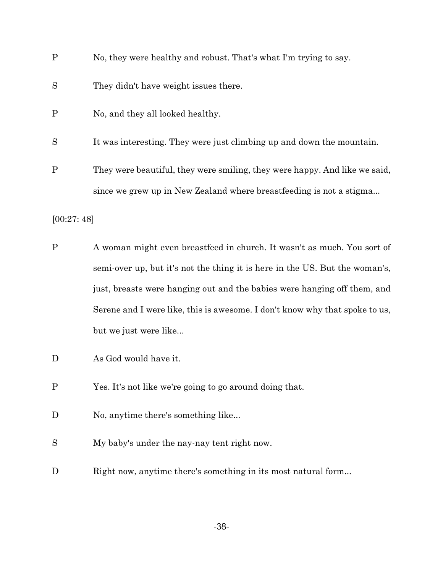| P | No, they were healthy and robust. That's what I'm trying to say.           |
|---|----------------------------------------------------------------------------|
| S | They didn't have weight issues there.                                      |
| P | No, and they all looked healthy.                                           |
| S | It was interesting. They were just climbing up and down the mountain.      |
| P | They were beautiful, they were smiling, they were happy. And like we said, |
|   | since we grew up in New Zealand where breastfeeding is not a stigma        |
|   |                                                                            |

[00:27: 48]

- P A woman might even breastfeed in church. It wasn't as much. You sort of semi-over up, but it's not the thing it is here in the US. But the woman's, just, breasts were hanging out and the babies were hanging off them, and Serene and I were like, this is awesome. I don't know why that spoke to us, but we just were like...
- D As God would have it.
- P Yes. It's not like we're going to go around doing that.
- D No, anytime there's something like...
- S My baby's under the nay-nay tent right now.
- D Right now, anytime there's something in its most natural form...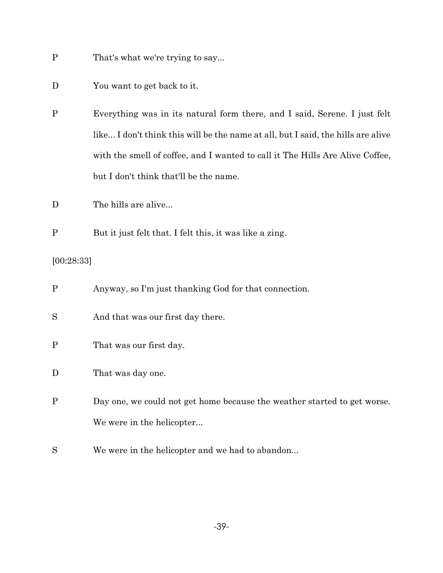- P That's what we're trying to say...
- D You want to get back to it.
- P Everything was in its natural form there, and I said, Serene. I just felt like... I don't think this will be the name at all, but I said, the hills are alive with the smell of coffee, and I wanted to call it The Hills Are Alive Coffee, but I don't think that'll be the name.
- D The hills are alive...
- P But it just felt that. I felt this, it was like a zing.

## [00:28:33]

| P | Anyway, so I'm just thanking God for that connection.                    |
|---|--------------------------------------------------------------------------|
| S | And that was our first day there.                                        |
| P | That was our first day.                                                  |
| D | That was day one.                                                        |
| P | Day one, we could not get home because the weather started to get worse. |
|   | We were in the helicopter                                                |
| S | We were in the helicopter and we had to abandon                          |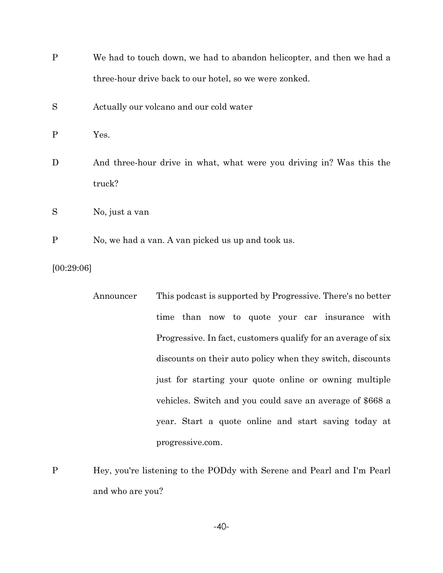| $\mathbf{P}$ | We had to touch down, we had to abandon helicopter, and then we had a |                                                                        |  |  |
|--------------|-----------------------------------------------------------------------|------------------------------------------------------------------------|--|--|
|              |                                                                       | three-hour drive back to our hotel, so we were zonked.                 |  |  |
| S            | Actually our volcano and our cold water                               |                                                                        |  |  |
| $\mathbf{P}$ | Yes.                                                                  |                                                                        |  |  |
| D            | truck?                                                                | And three-hour drive in what, what were you driving in? Was this the   |  |  |
| S            | No, just a van                                                        |                                                                        |  |  |
| $\mathbf P$  | No, we had a van. A van picked us up and took us.                     |                                                                        |  |  |
| [00:29:06]   |                                                                       |                                                                        |  |  |
|              | Announcer                                                             | This podcast is supported by Progressive. There's no better            |  |  |
|              |                                                                       | time than now to quote your car insurance<br>with                      |  |  |
|              |                                                                       | Progressive. In fact, customers qualify for an average of six          |  |  |
|              |                                                                       | discounts on their auto policy when they switch, discounts             |  |  |
|              |                                                                       | just for starting your quote online or owning multiple                 |  |  |
|              |                                                                       | vehicles. Switch and you could save an average of \$668 a              |  |  |
|              |                                                                       | year. Start a quote online and start saving today at                   |  |  |
|              |                                                                       | progressive.com.                                                       |  |  |
| P            |                                                                       | Hey, you're listening to the PODdy with Serene and Pearl and I'm Pearl |  |  |

and who are you?

-40-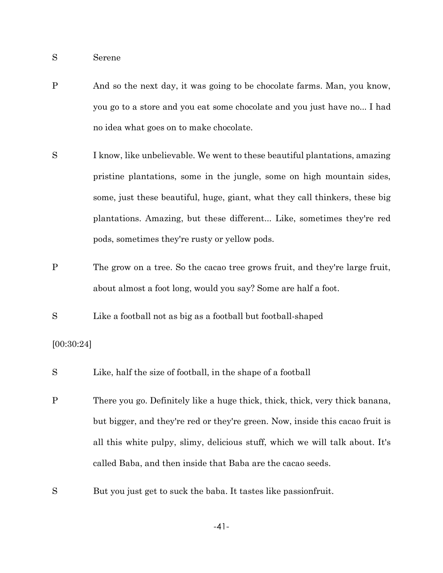S Serene

P And so the next day, it was going to be chocolate farms. Man, you know, you go to a store and you eat some chocolate and you just have no... I had no idea what goes on to make chocolate.

S I know, like unbelievable. We went to these beautiful plantations, amazing pristine plantations, some in the jungle, some on high mountain sides, some, just these beautiful, huge, giant, what they call thinkers, these big plantations. Amazing, but these different... Like, sometimes they're red pods, sometimes they're rusty or yellow pods.

- P The grow on a tree. So the cacao tree grows fruit, and they're large fruit, about almost a foot long, would you say? Some are half a foot.
- S Like a football not as big as a football but football-shaped

### [00:30:24]

- S Like, half the size of football, in the shape of a football
- P There you go. Definitely like a huge thick, thick, thick, very thick banana, but bigger, and they're red or they're green. Now, inside this cacao fruit is all this white pulpy, slimy, delicious stuff, which we will talk about. It's called Baba, and then inside that Baba are the cacao seeds.
- S But you just get to suck the baba. It tastes like passionfruit.

-41-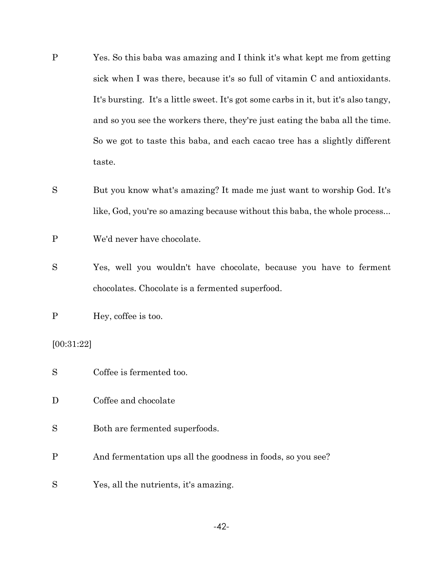- P Yes. So this baba was amazing and I think it's what kept me from getting sick when I was there, because it's so full of vitamin C and antioxidants. It's bursting. It's a little sweet. It's got some carbs in it, but it's also tangy, and so you see the workers there, they're just eating the baba all the time. So we got to taste this baba, and each cacao tree has a slightly different taste.
- S But you know what's amazing? It made me just want to worship God. It's like, God, you're so amazing because without this baba, the whole process...

P We'd never have chocolate.

S Yes, well you wouldn't have chocolate, because you have to ferment chocolates. Chocolate is a fermented superfood.

P Hey, coffee is too.

[00:31:22]

- S Coffee is fermented too.
- D Coffee and chocolate
- S Both are fermented superfoods.
- P And fermentation ups all the goodness in foods, so you see?
- S Yes, all the nutrients, it's amazing.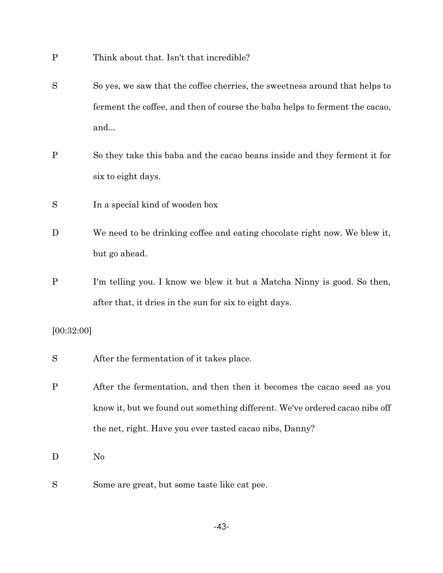- P Think about that. Isn't that incredible?
- S So yes, we saw that the coffee cherries, the sweetness around that helps to ferment the coffee, and then of course the baba helps to ferment the cacao, and...
- P So they take this baba and the cacao beans inside and they ferment it for six to eight days.
- S In a special kind of wooden box
- D We need to be drinking coffee and eating chocolate right now. We blew it, but go ahead.
- P I'm telling you. I know we blew it but a Matcha Ninny is good. So then, after that, it dries in the sun for six to eight days.

### [00:32:00]

- S After the fermentation of it takes place.
- P After the fermentation, and then then it becomes the cacao seed as you know it, but we found out something different. We've ordered cacao nibs off the net, right. Have you ever tasted cacao nibs, Danny?
- D No
- S Some are great, but some taste like cat pee.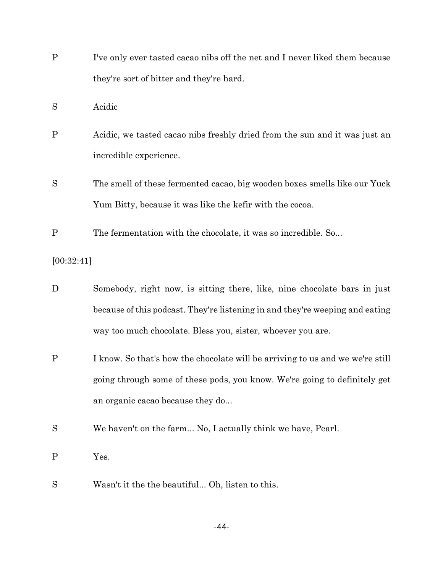- P I've only ever tasted cacao nibs off the net and I never liked them because they're sort of bitter and they're hard.
- S Acidic
- P Acidic, we tasted cacao nibs freshly dried from the sun and it was just an incredible experience.
- S The smell of these fermented cacao, big wooden boxes smells like our Yuck Yum Bitty, because it was like the kefir with the cocoa.
- P The fermentation with the chocolate, it was so incredible. So...

[00:32:41]

- D Somebody, right now, is sitting there, like, nine chocolate bars in just because of this podcast. They're listening in and they're weeping and eating way too much chocolate. Bless you, sister, whoever you are.
- P I know. So that's how the chocolate will be arriving to us and we we're still going through some of these pods, you know. We're going to definitely get an organic cacao because they do...
- S We haven't on the farm... No, I actually think we have, Pearl.
- P Yes.
- S Wasn't it the the beautiful... Oh, listen to this.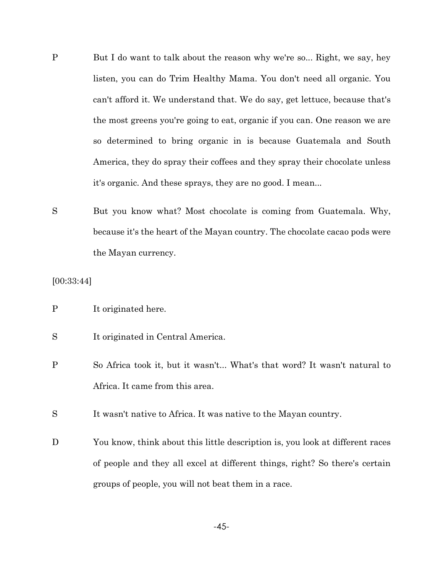- P But I do want to talk about the reason why we're so... Right, we say, hey listen, you can do Trim Healthy Mama. You don't need all organic. You can't afford it. We understand that. We do say, get lettuce, because that's the most greens you're going to eat, organic if you can. One reason we are so determined to bring organic in is because Guatemala and South America, they do spray their coffees and they spray their chocolate unless it's organic. And these sprays, they are no good. I mean...
- S But you know what? Most chocolate is coming from Guatemala. Why, because it's the heart of the Mayan country. The chocolate cacao pods were the Mayan currency.

[00:33:44]

- P It originated here.
- S It originated in Central America.
- P So Africa took it, but it wasn't... What's that word? It wasn't natural to Africa. It came from this area.

S It wasn't native to Africa. It was native to the Mayan country.

D You know, think about this little description is, you look at different races of people and they all excel at different things, right? So there's certain groups of people, you will not beat them in a race.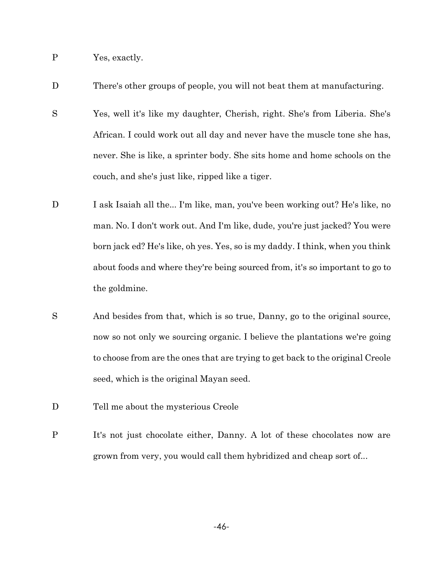P Yes, exactly.

D There's other groups of people, you will not beat them at manufacturing.

- S Yes, well it's like my daughter, Cherish, right. She's from Liberia. She's African. I could work out all day and never have the muscle tone she has, never. She is like, a sprinter body. She sits home and home schools on the couch, and she's just like, ripped like a tiger.
- D I ask Isaiah all the... I'm like, man, you've been working out? He's like, no man. No. I don't work out. And I'm like, dude, you're just jacked? You were born jack ed? He's like, oh yes. Yes, so is my daddy. I think, when you think about foods and where they're being sourced from, it's so important to go to the goldmine.
- S And besides from that, which is so true, Danny, go to the original source, now so not only we sourcing organic. I believe the plantations we're going to choose from are the ones that are trying to get back to the original Creole seed, which is the original Mayan seed.
- D Tell me about the mysterious Creole
- P It's not just chocolate either, Danny. A lot of these chocolates now are grown from very, you would call them hybridized and cheap sort of...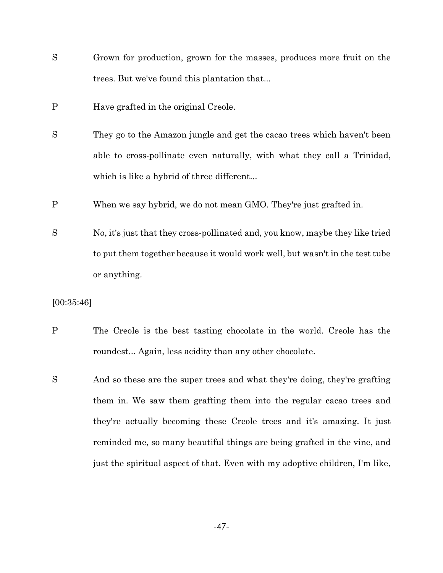- S Grown for production, grown for the masses, produces more fruit on the trees. But we've found this plantation that...
- P Have grafted in the original Creole.
- S They go to the Amazon jungle and get the cacao trees which haven't been able to cross-pollinate even naturally, with what they call a Trinidad, which is like a hybrid of three different...
- P When we say hybrid, we do not mean GMO. They're just grafted in.
- S No, it's just that they cross-pollinated and, you know, maybe they like tried to put them together because it would work well, but wasn't in the test tube or anything.

[00:35:46]

- P The Creole is the best tasting chocolate in the world. Creole has the roundest... Again, less acidity than any other chocolate.
- S And so these are the super trees and what they're doing, they're grafting them in. We saw them grafting them into the regular cacao trees and they're actually becoming these Creole trees and it's amazing. It just reminded me, so many beautiful things are being grafted in the vine, and just the spiritual aspect of that. Even with my adoptive children, I'm like,

-47-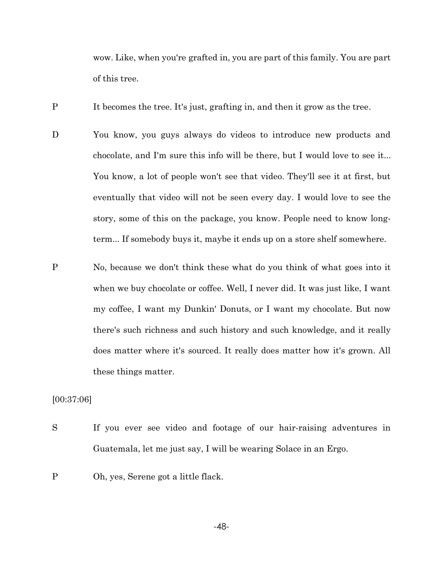wow. Like, when you're grafted in, you are part of this family. You are part of this tree.

P It becomes the tree. It's just, grafting in, and then it grow as the tree.

- D You know, you guys always do videos to introduce new products and chocolate, and I'm sure this info will be there, but I would love to see it... You know, a lot of people won't see that video. They'll see it at first, but eventually that video will not be seen every day. I would love to see the story, some of this on the package, you know. People need to know longterm... If somebody buys it, maybe it ends up on a store shelf somewhere.
- P No, because we don't think these what do you think of what goes into it when we buy chocolate or coffee. Well, I never did. It was just like, I want my coffee, I want my Dunkin' Donuts, or I want my chocolate. But now there's such richness and such history and such knowledge, and it really does matter where it's sourced. It really does matter how it's grown. All these things matter.

[00:37:06]

- S If you ever see video and footage of our hair-raising adventures in Guatemala, let me just say, I will be wearing Solace in an Ergo.
- P Oh, yes, Serene got a little flack.

-48-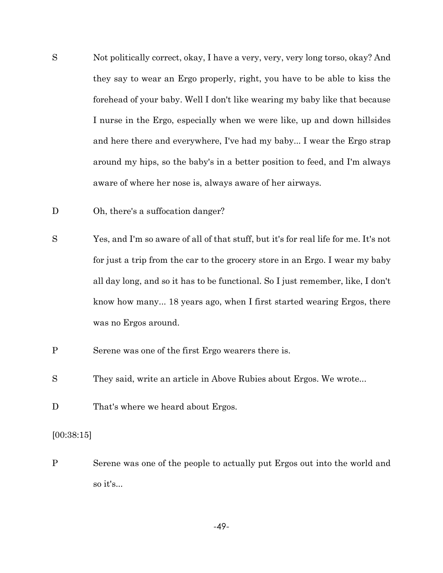- S Not politically correct, okay, I have a very, very, very long torso, okay? And they say to wear an Ergo properly, right, you have to be able to kiss the forehead of your baby. Well I don't like wearing my baby like that because I nurse in the Ergo, especially when we were like, up and down hillsides and here there and everywhere, I've had my baby... I wear the Ergo strap around my hips, so the baby's in a better position to feed, and I'm always aware of where her nose is, always aware of her airways.
- D Oh, there's a suffocation danger?
- S Yes, and I'm so aware of all of that stuff, but it's for real life for me. It's not for just a trip from the car to the grocery store in an Ergo. I wear my baby all day long, and so it has to be functional. So I just remember, like, I don't know how many... 18 years ago, when I first started wearing Ergos, there was no Ergos around.
- P Serene was one of the first Ergo wearers there is.
- S They said, write an article in Above Rubies about Ergos. We wrote...
- D That's where we heard about Ergos.

### [00:38:15]

P Serene was one of the people to actually put Ergos out into the world and so it's...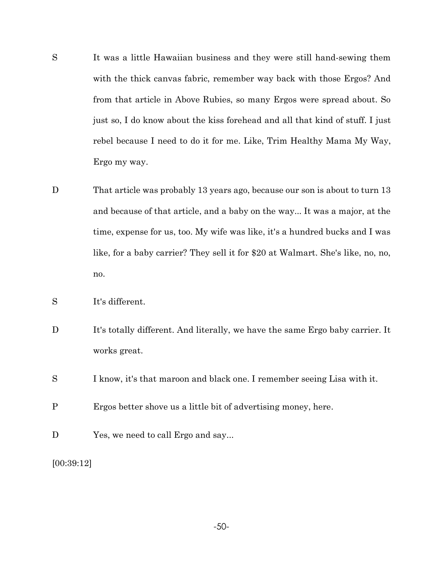- S It was a little Hawaiian business and they were still hand-sewing them with the thick canvas fabric, remember way back with those Ergos? And from that article in Above Rubies, so many Ergos were spread about. So just so, I do know about the kiss forehead and all that kind of stuff. I just rebel because I need to do it for me. Like, Trim Healthy Mama My Way, Ergo my way.
- D That article was probably 13 years ago, because our son is about to turn 13 and because of that article, and a baby on the way... It was a major, at the time, expense for us, too. My wife was like, it's a hundred bucks and I was like, for a baby carrier? They sell it for \$20 at Walmart. She's like, no, no, no.
- S It's different.
- D It's totally different. And literally, we have the same Ergo baby carrier. It works great.
- S I know, it's that maroon and black one. I remember seeing Lisa with it.
- P Ergos better shove us a little bit of advertising money, here.
- D Yes, we need to call Ergo and say...

<sup>[00:39:12]</sup>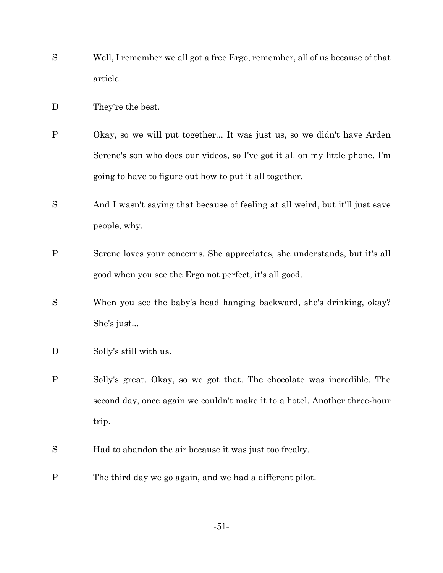- S Well, I remember we all got a free Ergo, remember, all of us because of that article.
- D They're the best.
- P Okay, so we will put together... It was just us, so we didn't have Arden Serene's son who does our videos, so I've got it all on my little phone. I'm going to have to figure out how to put it all together.
- S And I wasn't saying that because of feeling at all weird, but it'll just save people, why.
- P Serene loves your concerns. She appreciates, she understands, but it's all good when you see the Ergo not perfect, it's all good.
- S When you see the baby's head hanging backward, she's drinking, okay? She's just...
- D Solly's still with us.
- P Solly's great. Okay, so we got that. The chocolate was incredible. The second day, once again we couldn't make it to a hotel. Another three-hour trip.
- S Had to abandon the air because it was just too freaky.
- P The third day we go again, and we had a different pilot.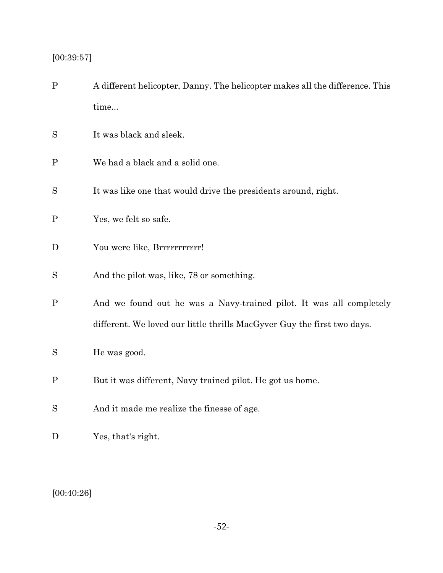# $[00:39:57]$

| $\mathbf{P}$ | A different helicopter, Danny. The helicopter makes all the difference. This<br>time |
|--------------|--------------------------------------------------------------------------------------|
|              |                                                                                      |
| S            | It was black and sleek.                                                              |
| P            | We had a black and a solid one.                                                      |
| S            | It was like one that would drive the presidents around, right.                       |
| $\mathbf P$  | Yes, we felt so safe.                                                                |
| D            | You were like, Brrrrrrrrrrrr!                                                        |
| S            | And the pilot was, like, 78 or something.                                            |
| $\mathbf P$  | And we found out he was a Navy-trained pilot. It was all completely                  |
|              | different. We loved our little thrills MacGyver Guy the first two days.              |
| S            | He was good.                                                                         |
| $\mathbf P$  | But it was different, Navy trained pilot. He got us home.                            |
| S            | And it made me realize the finesse of age.                                           |
|              |                                                                                      |

D Yes, that's right.

[00:40:26]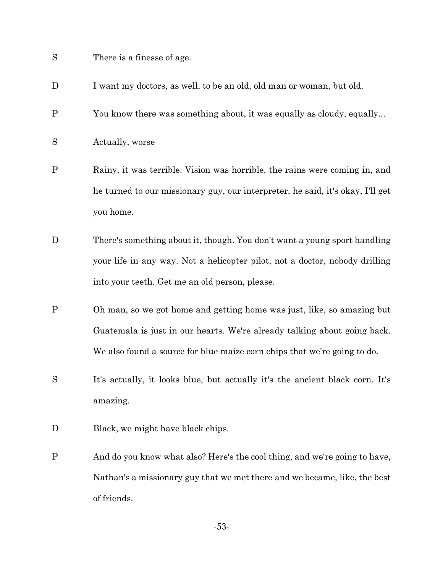- S There is a finesse of age.
- D I want my doctors, as well, to be an old, old man or woman, but old.
- P You know there was something about, it was equally as cloudy, equally...
- S Actually, worse
- P Rainy, it was terrible. Vision was horrible, the rains were coming in, and he turned to our missionary guy, our interpreter, he said, it's okay, I'll get you home.
- D There's something about it, though. You don't want a young sport handling your life in any way. Not a helicopter pilot, not a doctor, nobody drilling into your teeth. Get me an old person, please.
- P Oh man, so we got home and getting home was just, like, so amazing but Guatemala is just in our hearts. We're already talking about going back. We also found a source for blue maize corn chips that we're going to do.
- S It's actually, it looks blue, but actually it's the ancient black corn. It's amazing.
- D Black, we might have black chips.
- P And do you know what also? Here's the cool thing, and we're going to have, Nathan's a missionary guy that we met there and we became, like, the best of friends.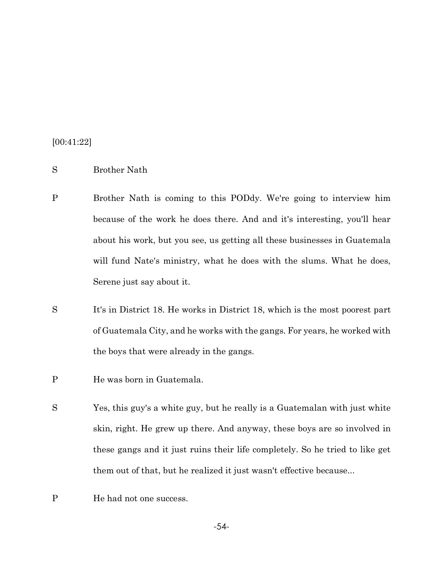[00:41:22]

- S Brother Nath
- P Brother Nath is coming to this PODdy. We're going to interview him because of the work he does there. And and it's interesting, you'll hear about his work, but you see, us getting all these businesses in Guatemala will fund Nate's ministry, what he does with the slums. What he does, Serene just say about it.
- S It's in District 18. He works in District 18, which is the most poorest part of Guatemala City, and he works with the gangs. For years, he worked with the boys that were already in the gangs.
- P He was born in Guatemala.
- S Yes, this guy's a white guy, but he really is a Guatemalan with just white skin, right. He grew up there. And anyway, these boys are so involved in these gangs and it just ruins their life completely. So he tried to like get them out of that, but he realized it just wasn't effective because...
- P He had not one success.

-54-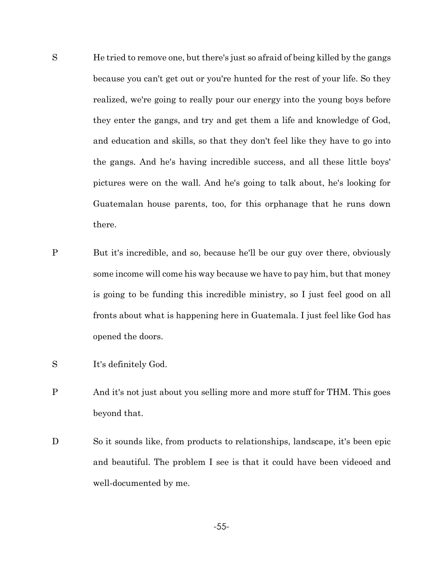- S He tried to remove one, but there's just so afraid of being killed by the gangs because you can't get out or you're hunted for the rest of your life. So they realized, we're going to really pour our energy into the young boys before they enter the gangs, and try and get them a life and knowledge of God, and education and skills, so that they don't feel like they have to go into the gangs. And he's having incredible success, and all these little boys' pictures were on the wall. And he's going to talk about, he's looking for Guatemalan house parents, too, for this orphanage that he runs down there.
- P But it's incredible, and so, because he'll be our guy over there, obviously some income will come his way because we have to pay him, but that money is going to be funding this incredible ministry, so I just feel good on all fronts about what is happening here in Guatemala. I just feel like God has opened the doors.
- S It's definitely God.
- P And it's not just about you selling more and more stuff for THM. This goes beyond that.
- D So it sounds like, from products to relationships, landscape, it's been epic and beautiful. The problem I see is that it could have been videoed and well-documented by me.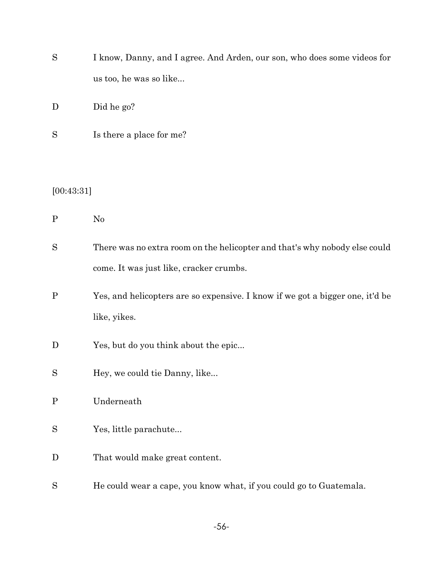| I know, Danny, and I agree. And Arden, our son, who does some videos for |
|--------------------------------------------------------------------------|
| us too, he was so like                                                   |

D Did he go?

S Is there a place for me?

## [00:43:31]

P No

| There was no extra room on the helicopter and that's why nobody else could |
|----------------------------------------------------------------------------|
| come. It was just like, cracker crumbs.                                    |

- P Yes, and helicopters are so expensive. I know if we got a bigger one, it'd be like, yikes.
- D Yes, but do you think about the epic...
- S Hey, we could tie Danny, like...
- P Underneath
- S Yes, little parachute...
- D That would make great content.
- S He could wear a cape, you know what, if you could go to Guatemala.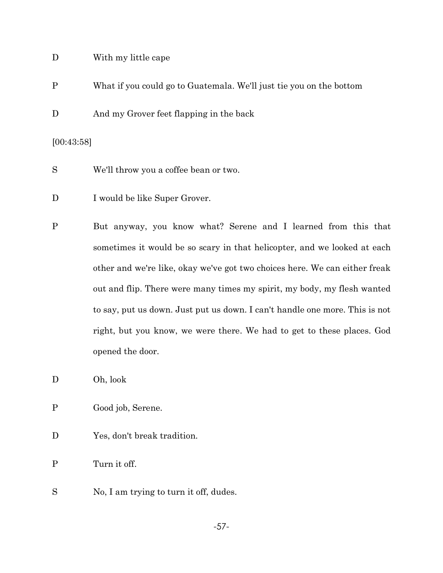### D With my little cape

- P What if you could go to Guatemala. We'll just tie you on the bottom
- D And my Grover feet flapping in the back

[00:43:58]

- S We'll throw you a coffee bean or two.
- D I would be like Super Grover.
- P But anyway, you know what? Serene and I learned from this that sometimes it would be so scary in that helicopter, and we looked at each other and we're like, okay we've got two choices here. We can either freak out and flip. There were many times my spirit, my body, my flesh wanted to say, put us down. Just put us down. I can't handle one more. This is not right, but you know, we were there. We had to get to these places. God opened the door.
- D Oh, look
- P Good job, Serene.
- D Yes, don't break tradition.

P Turn it off.

S No, I am trying to turn it off, dudes.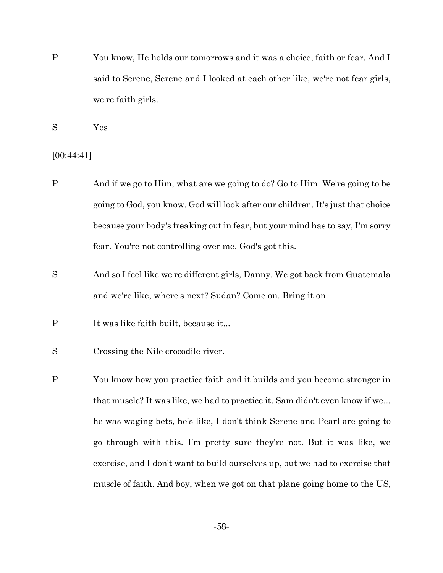P You know, He holds our tomorrows and it was a choice, faith or fear. And I said to Serene, Serene and I looked at each other like, we're not fear girls, we're faith girls.

S Yes

[00:44:41]

- P And if we go to Him, what are we going to do? Go to Him. We're going to be going to God, you know. God will look after our children. It's just that choice because your body's freaking out in fear, but your mind has to say, I'm sorry fear. You're not controlling over me. God's got this.
- S And so I feel like we're different girls, Danny. We got back from Guatemala and we're like, where's next? Sudan? Come on. Bring it on.
- P It was like faith built, because it...
- S Crossing the Nile crocodile river.
- P You know how you practice faith and it builds and you become stronger in that muscle? It was like, we had to practice it. Sam didn't even know if we... he was waging bets, he's like, I don't think Serene and Pearl are going to go through with this. I'm pretty sure they're not. But it was like, we exercise, and I don't want to build ourselves up, but we had to exercise that muscle of faith. And boy, when we got on that plane going home to the US,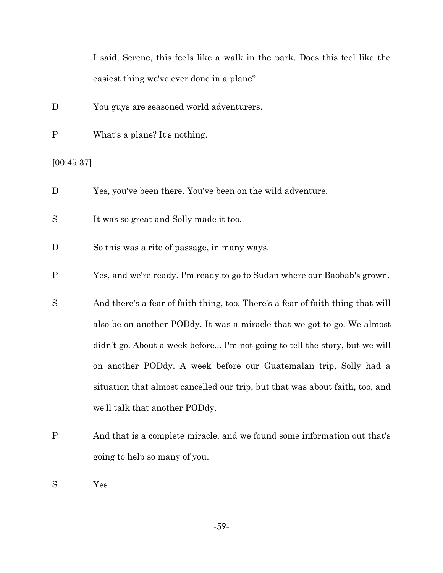I said, Serene, this feels like a walk in the park. Does this feel like the easiest thing we've ever done in a plane?

- D You guys are seasoned world adventurers.
- P What's a plane? It's nothing.

[00:45:37]

- D Yes, you've been there. You've been on the wild adventure.
- S It was so great and Solly made it too.
- D So this was a rite of passage, in many ways.
- P Yes, and we're ready. I'm ready to go to Sudan where our Baobab's grown.
- S And there's a fear of faith thing, too. There's a fear of faith thing that will also be on another PODdy. It was a miracle that we got to go. We almost didn't go. About a week before... I'm not going to tell the story, but we will on another PODdy. A week before our Guatemalan trip, Solly had a situation that almost cancelled our trip, but that was about faith, too, and we'll talk that another PODdy.
- P And that is a complete miracle, and we found some information out that's going to help so many of you.
- S Yes